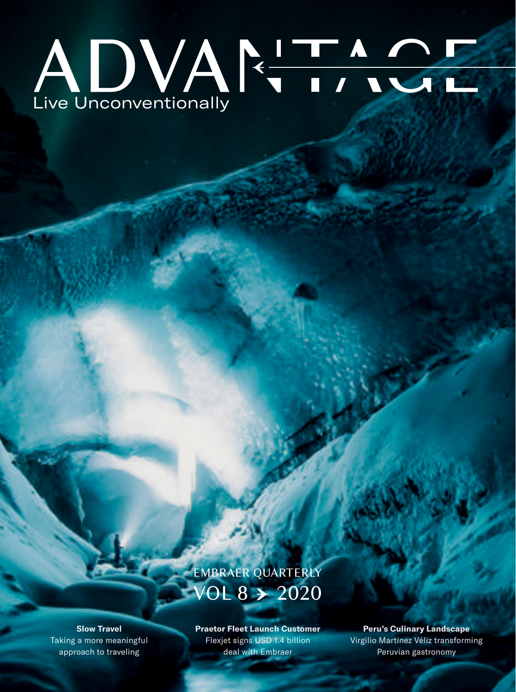## Live Unconventionally

## EMBRAER QUARTERLY OL 8  $\rightarrow$  2020

**Slow Travel** Taking a more meaningful approach to traveling

**Praetor Fleet Launch Customer**  Flexjet signs USD 1.4 billion deal with Embraer

**Peru's Culinary Landscape** Virgilio Martínez Véliz transforming Peruvian gastronomy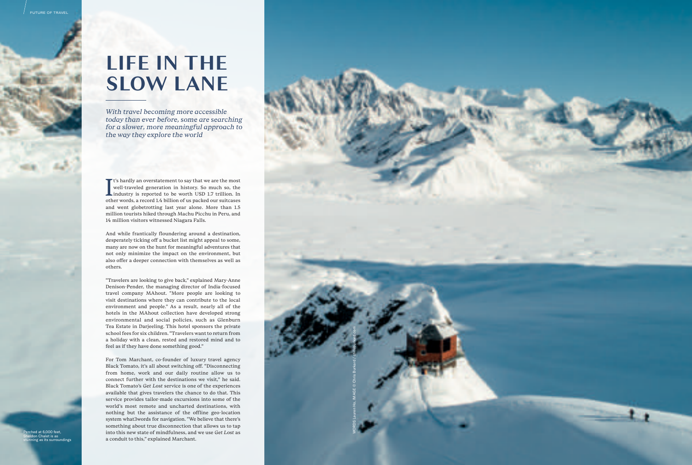## **LIFE IN THE SLOW LANE**

*With travel becoming more accessible today than ever before, some are searching for a slower, more meaningful approach to the way they explore the world*

I<sub>oth</sub> **T** t's hardly an overstatement to say that we are the most well-traveled generation in history. So much so, the industry is reported to be worth USD 1.7 trillion. In other words, a record 1.4 billion of us packed our suitcases and went globetrotting last year alone. More than 1.5 million tourists hiked through Machu Picchu in Peru, and 14 million visitors witnessed Niagara Falls.

And while frantically floundering around a destination, desperately ticking o ff a bucket list might appeal to some, many are now on the hunt for meaningful adventures that not only minimize the impact on the environment, but also o ffer a deeper connection with themselves as well as others.

"Travelers are looking to give back," explained Mary-Anne Denison-Pender, the managing director of India-focused travel company MAhout. "More people are looking to visit destinations where they can contribute to the local environment and people." As a result, nearly all of the hotels in the MAhout collection have developed strong environmental and social policies, such as Glenburn Tea Estate in Darjeeling. This hotel sponsors the private school fees for six children. "Travelers want to return from a holiday with a clean, rested and restored mind and to feel as if they have done something good."

For Tom Marchant, co-founder of luxury travel agency Black Tomato, it's all about switching o ff. "Disconnecting from home, work and our daily routine allow us to connect further with the destinations we visit," he said. Black Tomato's *Get Lost* service is one of the experiences available that gives travelers the chance to do that. This service provides tailor-made excursions into some of the world's most remote and uncharted destinations, with nothing but the assistance of the o ffline geo-location system what3words for navigation. "We believe that there's something about true disconnection that allows us to tap into this new state of mindfulness, and we use *Get Lost* as a conduit to this," explained Marchant.

Perched at 6,000 feet, Sheldon Chalet is as stunning as its surroundings